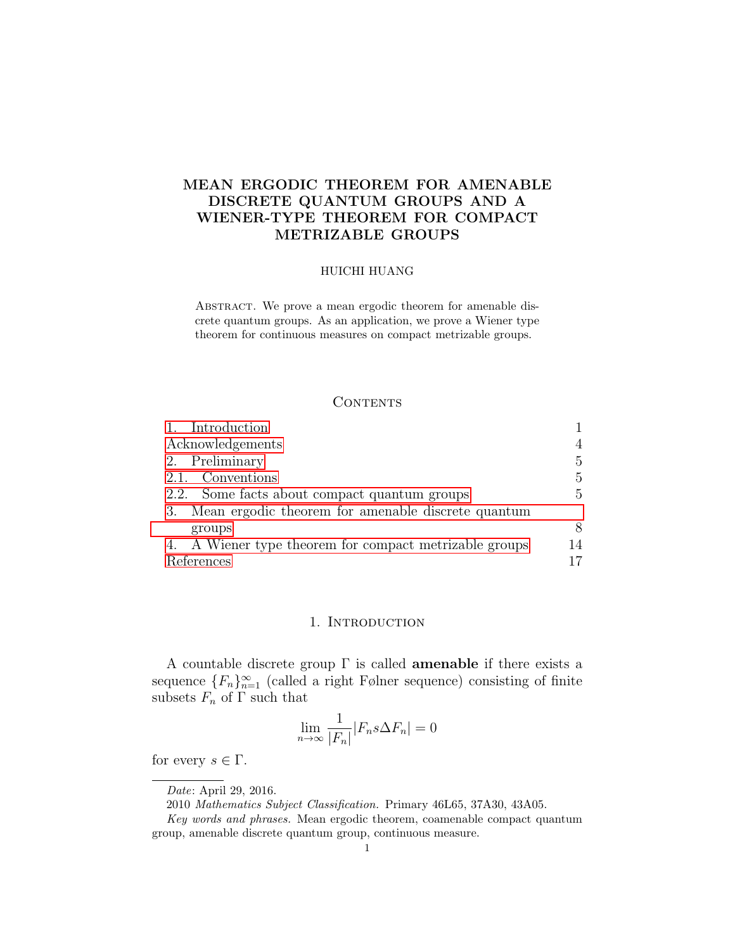# MEAN ERGODIC THEOREM FOR AMENABLE DISCRETE QUANTUM GROUPS AND A WIENER-TYPE THEOREM FOR COMPACT METRIZABLE GROUPS

#### HUICHI HUANG

ABSTRACT. We prove a mean ergodic theorem for amenable discrete quantum groups. As an application, we prove a Wiener type theorem for continuous measures on compact metrizable groups.

## <span id="page-0-1"></span>**CONTENTS**

| 1. Introduction                                          |              |
|----------------------------------------------------------|--------------|
| Acknowledgements                                         | 4            |
| 2. Preliminary                                           | $\mathbf{5}$ |
| 2.1. Conventions                                         | 5            |
| 2.2. Some facts about compact quantum groups             | 5            |
| Mean ergodic theorem for amenable discrete quantum<br>3. |              |
| groups                                                   | 8            |
| 4. A Wiener type theorem for compact metrizable groups   | 14           |
| References                                               | 17           |

## 1. INTRODUCTION

<span id="page-0-0"></span>A countable discrete group  $\Gamma$  is called **amenable** if there exists a sequence  ${F_n}_{n=1}^{\infty}$  (called a right Følner sequence) consisting of finite subsets  $F_n$  of  $\Gamma$  such that

$$
\lim_{n \to \infty} \frac{1}{|F_n|} |F_n s \Delta F_n| = 0
$$

for every  $s \in \Gamma$ .

Date: April 29, 2016.

<sup>2010</sup> Mathematics Subject Classification. Primary 46L65, 37A30, 43A05.

Key words and phrases. Mean ergodic theorem, coamenable compact quantum group, amenable discrete quantum group, continuous measure.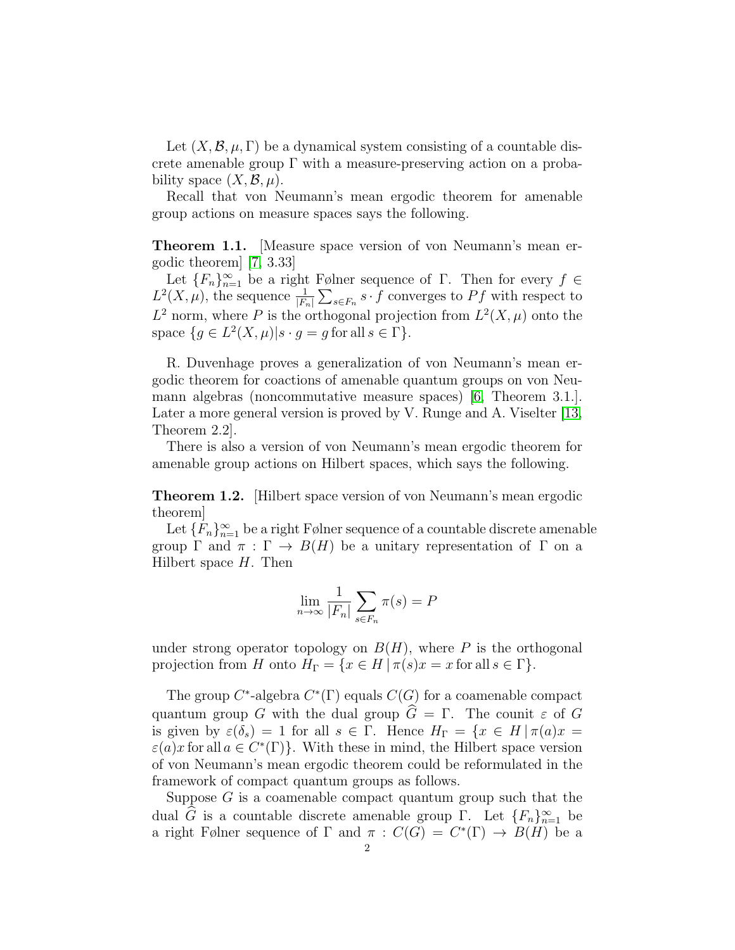Let  $(X, \mathcal{B}, \mu, \Gamma)$  be a dynamical system consisting of a countable discrete amenable group  $\Gamma$  with a measure-preserving action on a probability space  $(X, \mathcal{B}, \mu)$ .

Recall that von Neumann's mean ergodic theorem for amenable group actions on measure spaces says the following.

Theorem 1.1. [Measure space version of von Neumann's mean ergodic theorem] [\[7,](#page-16-0) 3.33]

Let  ${F_n}_{n=1}^{\infty}$  be a right Følner sequence of  $\Gamma$ . Then for every  $f \in$  $L^2(X, \mu)$ , the sequence  $\frac{1}{|F_n|} \sum_{s \in F_n} s \cdot f$  converges to Pf with respect to  $L^2$  norm, where P is the orthogonal projection from  $L^2(X,\mu)$  onto the space  $\{g \in L^2(X,\mu)|s \cdot g = g \text{ for all } s \in \Gamma\}.$ 

R. Duvenhage proves a generalization of von Neumann's mean ergodic theorem for coactions of amenable quantum groups on von Neumann algebras (noncommutative measure spaces) [\[6,](#page-16-1) Theorem 3.1.]. Later a more general version is proved by V. Runge and A. Viselter [\[13,](#page-17-0) Theorem 2.2].

There is also a version of von Neumann's mean ergodic theorem for amenable group actions on Hilbert spaces, which says the following.

Theorem 1.2. [Hilbert space version of von Neumann's mean ergodic theorem]

Let  ${F_n}_{n=1}^{\infty}$  be a right Følner sequence of a countable discrete amenable group  $\Gamma$  and  $\pi : \Gamma \to B(H)$  be a unitary representation of  $\Gamma$  on a Hilbert space  $H$ . Then

$$
\lim_{n \to \infty} \frac{1}{|F_n|} \sum_{s \in F_n} \pi(s) = P
$$

under strong operator topology on  $B(H)$ , where P is the orthogonal projection from H onto  $H_{\Gamma} = \{x \in H | \pi(s)x = x \text{ for all } s \in \Gamma\}.$ 

The group  $C^*$ -algebra  $C^*(\Gamma)$  equals  $C(G)$  for a coamenable compact quantum group G with the dual group  $\widehat{G} = \Gamma$ . The counit  $\varepsilon$  of G is given by  $\varepsilon(\delta_s) = 1$  for all  $s \in \Gamma$ . Hence  $H_{\Gamma} = \{x \in H | \pi(a)x =$  $\varepsilon(a)x$  for all  $a \in C^*(\Gamma)$ . With these in mind, the Hilbert space version of von Neumann's mean ergodic theorem could be reformulated in the framework of compact quantum groups as follows.

Suppose  $G$  is a coamenable compact quantum group such that the dual  $\hat{G}$  is a countable discrete amenable group  $\Gamma$ . Let  $\{F_n\}_{n=1}^{\infty}$  be a right Følner sequence of  $\Gamma$  and  $\pi$  :  $C(G) = C^*(\Gamma) \rightarrow B(H)$  be a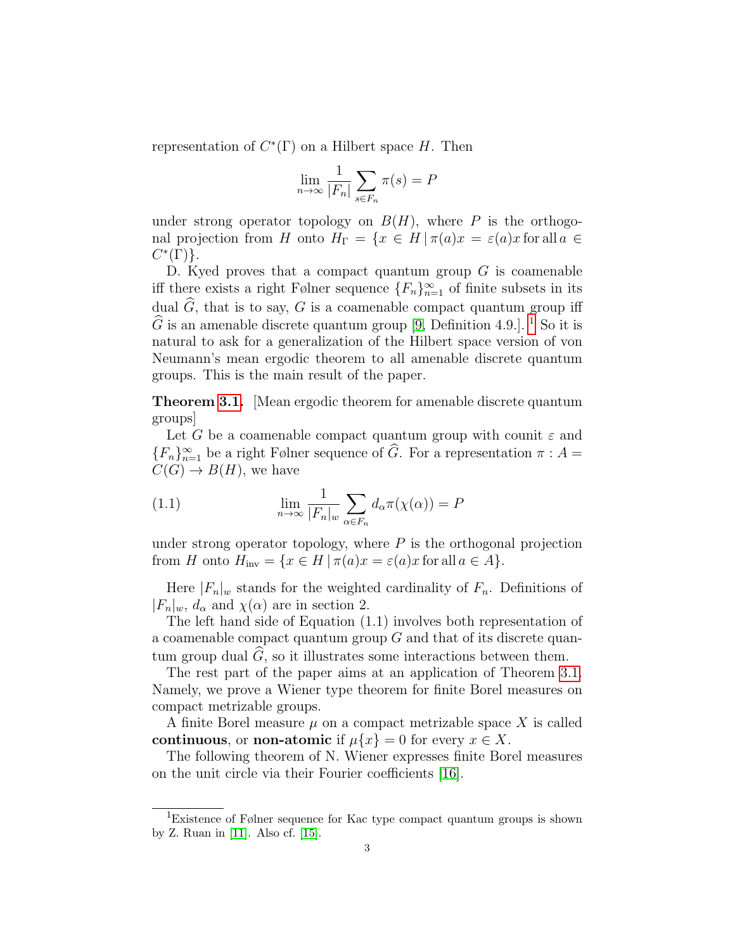representation of  $C^*(\Gamma)$  on a Hilbert space H. Then

$$
\lim_{n \to \infty} \frac{1}{|F_n|} \sum_{s \in F_n} \pi(s) = P
$$

under strong operator topology on  $B(H)$ , where P is the orthogonal projection from H onto  $H_{\Gamma} = \{x \in H | \pi(a)x = \varepsilon(a)x \text{ for all } a \in$  $C^*(\Gamma)$ .

D. Kyed proves that a compact quantum group  $G$  is coamenable iff there exists a right Følner sequence  $\{F_n\}_{n=1}^{\infty}$  of finite subsets in its dual  $\widehat{G}$ , that is to say, G is a coamenable compact quantum group iff  $\widehat{G}$  is an amenable discrete quantum group [\[9,](#page-16-2) Definition 4.9.]. <sup>[1](#page-2-0)</sup> So it is natural to ask for a generalization of the Hilbert space version of von Neumann's mean ergodic theorem to all amenable discrete quantum groups. This is the main result of the paper.

Theorem [3.1.](#page-8-1) [Mean ergodic theorem for amenable discrete quantum groups]

Let G be a coamenable compact quantum group with counit  $\varepsilon$  and  ${F_n}_{n=1}^{\infty}$  be a right Følner sequence of  $\widehat{G}$ . For a representation  $\pi : A =$  $C(G) \rightarrow B(H)$ , we have

(1.1) 
$$
\lim_{n \to \infty} \frac{1}{|F_n|_w} \sum_{\alpha \in F_n} d_{\alpha} \pi(\chi(\alpha)) = P
$$

under strong operator topology, where  $P$  is the orthogonal projection from H onto  $H_{\text{inv}} = \{x \in H | \pi(a)x = \varepsilon(a)x \text{ for all } a \in A\}.$ 

Here  $|F_n|_w$  stands for the weighted cardinality of  $F_n$ . Definitions of  $|F_n|_w$ ,  $d_\alpha$  and  $\chi(\alpha)$  are in section 2.

The left hand side of Equation (1.1) involves both representation of a coamenable compact quantum group G and that of its discrete quantum group dual  $\hat{G}$ , so it illustrates some interactions between them.

The rest part of the paper aims at an application of Theorem [3.1.](#page-8-1) Namely, we prove a Wiener type theorem for finite Borel measures on compact metrizable groups.

A finite Borel measure  $\mu$  on a compact metrizable space X is called continuous, or non-atomic if  $\mu\{x\} = 0$  for every  $x \in X$ .

The following theorem of N. Wiener expresses finite Borel measures on the unit circle via their Fourier coefficients [\[16\]](#page-17-1).

<span id="page-2-0"></span><sup>&</sup>lt;sup>1</sup>Existence of Følner sequence for Kac type compact quantum groups is shown by Z. Ruan in [\[11\]](#page-16-3). Also cf. [\[15\]](#page-17-2).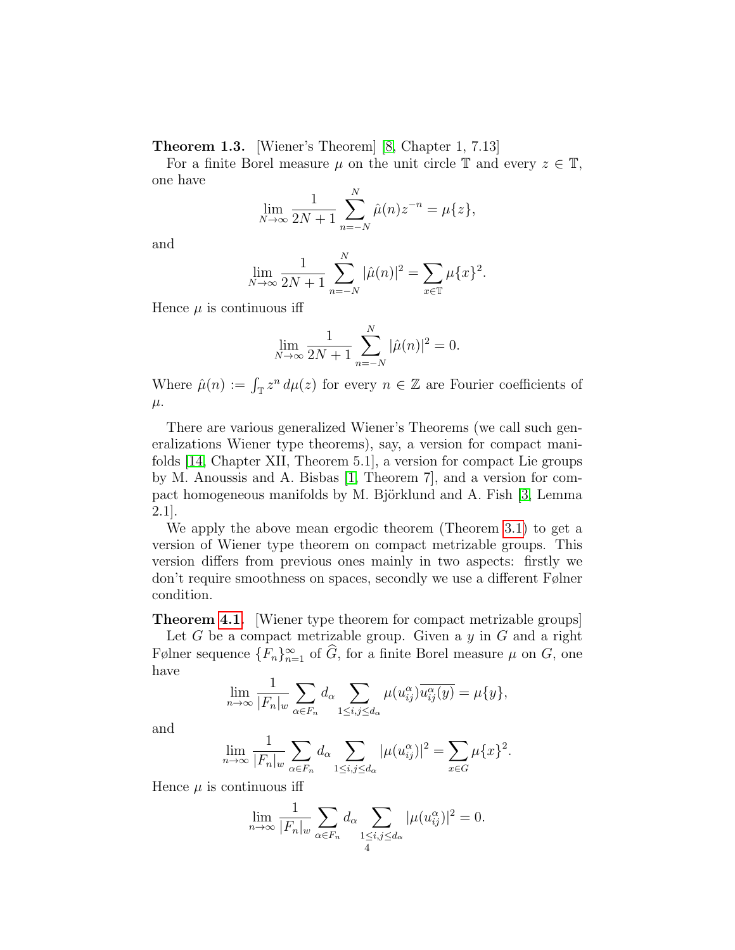Theorem 1.3. [Wiener's Theorem] [\[8,](#page-16-4) Chapter 1, 7.13]

For a finite Borel measure  $\mu$  on the unit circle  $\mathbb T$  and every  $z \in \mathbb T$ , one have

$$
\lim_{N \to \infty} \frac{1}{2N+1} \sum_{n=-N}^{N} \hat{\mu}(n) z^{-n} = \mu\{z\},\,
$$

and

$$
\lim_{N \to \infty} \frac{1}{2N+1} \sum_{n=-N}^{N} |\hat{\mu}(n)|^2 = \sum_{x \in \mathbb{T}} \mu\{x\}^2.
$$

Hence  $\mu$  is continuous iff

$$
\lim_{N \to \infty} \frac{1}{2N+1} \sum_{n=-N}^{N} |\hat{\mu}(n)|^2 = 0.
$$

Where  $\hat{\mu}(n) := \int_{\mathbb{T}} z^n d\mu(z)$  for every  $n \in \mathbb{Z}$  are Fourier coefficients of  $\mu$ .

There are various generalized Wiener's Theorems (we call such generalizations Wiener type theorems), say, a version for compact manifolds [\[14,](#page-17-3) Chapter XII, Theorem 5.1], a version for compact Lie groups by M. Anoussis and A. Bisbas [\[1,](#page-16-5) Theorem 7], and a version for com-pact homogeneous manifolds by M. Björklund and A. Fish [\[3,](#page-16-6) Lemma 2.1].

We apply the above mean ergodic theorem (Theorem [3.1\)](#page-8-1) to get a version of Wiener type theorem on compact metrizable groups. This version differs from previous ones mainly in two aspects: firstly we don't require smoothness on spaces, secondly we use a different Følner condition.

Theorem [4.1.](#page-13-1) [Wiener type theorem for compact metrizable groups] Let  $G$  be a compact metrizable group. Given a  $y$  in  $G$  and a right Følner sequence  ${F_n}_{n=1}^{\infty}$  of  $\widehat{G}$ , for a finite Borel measure  $\mu$  on  $G$ , one have

$$
\lim_{n \to \infty} \frac{1}{|F_n|_w} \sum_{\alpha \in F_n} d_{\alpha} \sum_{1 \le i,j \le d_{\alpha}} \mu(u_{ij}^{\alpha}) \overline{u_{ij}^{\alpha}(y)} = \mu\{y\},\
$$

and

$$
\lim_{n \to \infty} \frac{1}{|F_n|_w} \sum_{\alpha \in F_n} d_{\alpha} \sum_{1 \le i,j \le d_{\alpha}} |\mu(u_{ij}^{\alpha})|^2 = \sum_{x \in G} \mu\{x\}^2.
$$

Hence  $\mu$  is continuous iff

$$
\lim_{n \to \infty} \frac{1}{|F_n|_w} \sum_{\alpha \in F_n} d_{\alpha} \sum_{\substack{1 \le i,j \le d_{\alpha} \\ 4}} |\mu(u_{ij}^{\alpha})|^2 = 0.
$$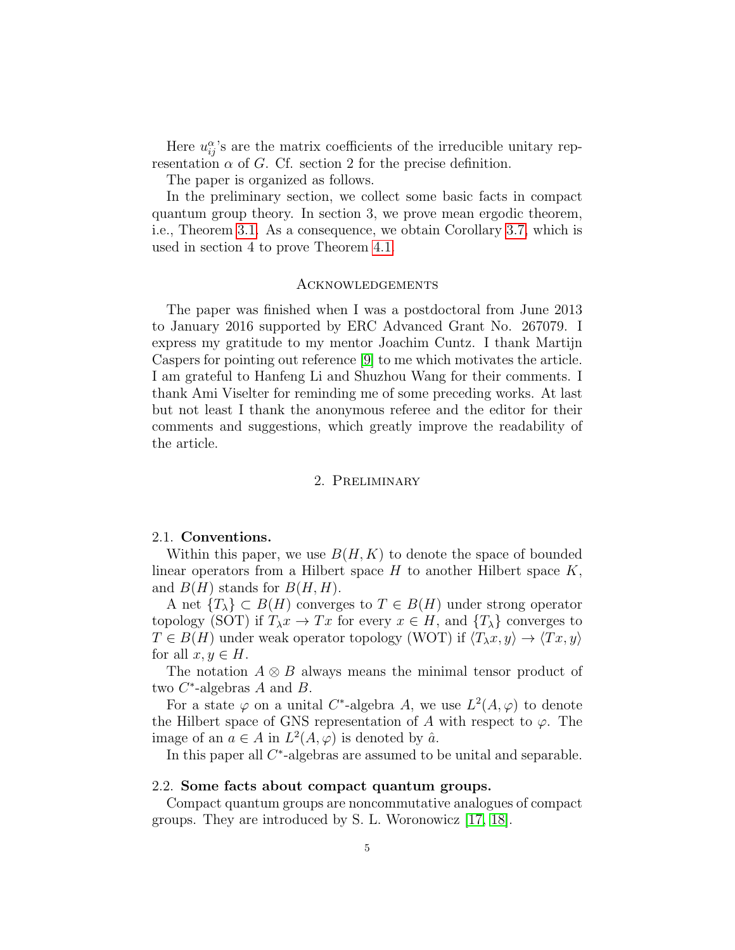Here  $u_{ij}^{\alpha}$ 's are the matrix coefficients of the irreducible unitary representation  $\alpha$  of G. Cf. section 2 for the precise definition.

The paper is organized as follows.

In the preliminary section, we collect some basic facts in compact quantum group theory. In section 3, we prove mean ergodic theorem, i.e., Theorem [3.1.](#page-8-1) As a consequence, we obtain Corollary [3.7,](#page-12-0) which is used in section 4 to prove Theorem [4.1.](#page-13-1)

#### Acknowledgements

The paper was finished when I was a postdoctoral from June 2013 to January 2016 supported by ERC Advanced Grant No. 267079. I express my gratitude to my mentor Joachim Cuntz. I thank Martijn Caspers for pointing out reference [\[9\]](#page-16-2) to me which motivates the article. I am grateful to Hanfeng Li and Shuzhou Wang for their comments. I thank Ami Viselter for reminding me of some preceding works. At last but not least I thank the anonymous referee and the editor for their comments and suggestions, which greatly improve the readability of the article.

### 2. Preliminary

### <span id="page-4-1"></span><span id="page-4-0"></span>2.1. Conventions.

Within this paper, we use  $B(H, K)$  to denote the space of bounded linear operators from a Hilbert space  $H$  to another Hilbert space  $K$ , and  $B(H)$  stands for  $B(H, H)$ .

A net  ${T_{\lambda}} \subset B(H)$  converges to  $T \in B(H)$  under strong operator topology (SOT) if  $T_{\lambda}x \to Tx$  for every  $x \in H$ , and  $\{T_{\lambda}\}\$ converges to  $T \in B(H)$  under weak operator topology (WOT) if  $\langle T_\lambda x, y \rangle \to \langle Tx, y \rangle$ for all  $x, y \in H$ .

The notation  $A \otimes B$  always means the minimal tensor product of two  $C^*$ -algebras A and B.

For a state  $\varphi$  on a unital C<sup>\*</sup>-algebra A, we use  $L^2(A, \varphi)$  to denote the Hilbert space of GNS representation of A with respect to  $\varphi$ . The image of an  $a \in A$  in  $L^2(A, \varphi)$  is denoted by  $\hat{a}$ .

In this paper all  $C^*$ -algebras are assumed to be unital and separable.

#### <span id="page-4-2"></span>2.2. Some facts about compact quantum groups.

Compact quantum groups are noncommutative analogues of compact groups. They are introduced by S. L. Woronowicz [\[17,](#page-17-4) [18\]](#page-17-5).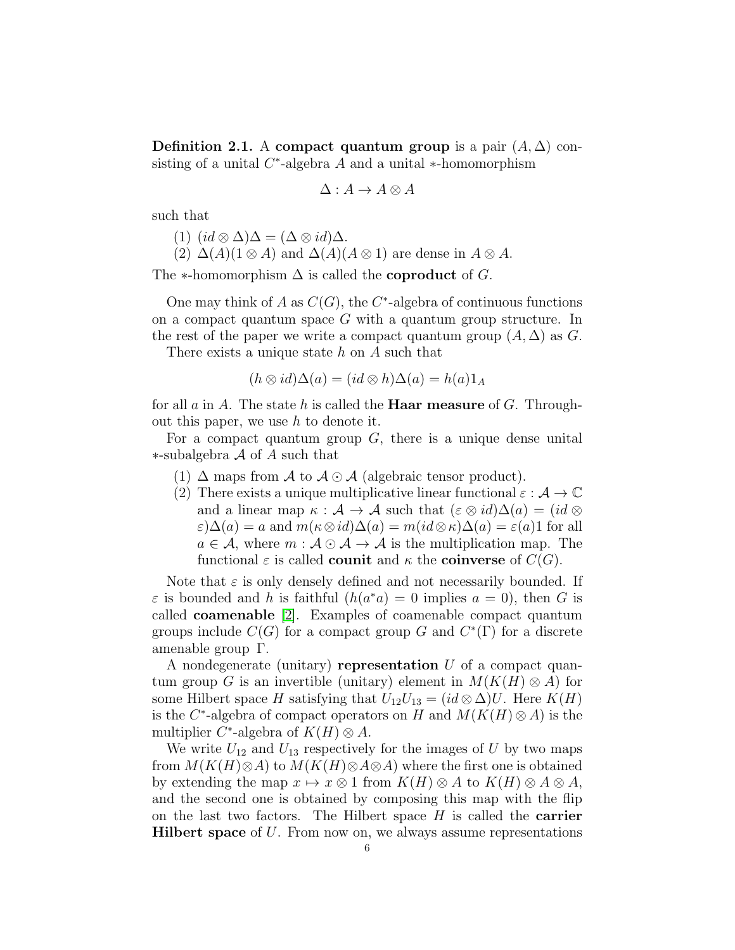Definition 2.1. A compact quantum group is a pair  $(A, \Delta)$  consisting of a unital  $C^*$ -algebra A and a unital  $*$ -homomorphism

$$
\Delta: A \to A \otimes A
$$

such that

 $(1)$   $(id \otimes \Delta)\Delta = (\Delta \otimes id)\Delta$ .

(2)  $\Delta(A)(1 \otimes A)$  and  $\Delta(A)(A \otimes 1)$  are dense in  $A \otimes A$ .

The  $\ast$ -homomorphism  $\Delta$  is called the **coproduct** of G.

One may think of A as  $C(G)$ , the C<sup>\*</sup>-algebra of continuous functions on a compact quantum space  $G$  with a quantum group structure. In the rest of the paper we write a compact quantum group  $(A, \Delta)$  as G.

There exists a unique state  $h$  on  $A$  such that

$$
(h \otimes id)\Delta(a) = (id \otimes h)\Delta(a) = h(a)1_A
$$

for all a in A. The state h is called the **Haar measure** of G. Throughout this paper, we use  $h$  to denote it.

For a compact quantum group  $G$ , there is a unique dense unital ∗-subalgebra A of A such that

- (1)  $\Delta$  maps from  $\mathcal A$  to  $\mathcal A \odot \mathcal A$  (algebraic tensor product).
- (2) There exists a unique multiplicative linear functional  $\varepsilon : \mathcal{A} \to \mathbb{C}$ and a linear map  $\kappa : \mathcal{A} \to \mathcal{A}$  such that  $(\varepsilon \otimes id)\Delta(a) = (id \otimes$  $\varepsilon)\Delta(a) = a$  and  $m(\kappa \otimes id)\Delta(a) = m(id \otimes \kappa)\Delta(a) = \varepsilon(a)1$  for all  $a \in \mathcal{A}$ , where  $m : \mathcal{A} \odot \mathcal{A} \rightarrow \mathcal{A}$  is the multiplication map. The functional  $\varepsilon$  is called **counit** and  $\kappa$  the **coinverse** of  $C(G)$ .

Note that  $\varepsilon$  is only densely defined and not necessarily bounded. If  $\varepsilon$  is bounded and h is faithful  $(h(a^*a) = 0$  implies  $a = 0)$ , then G is called coamenable [\[2\]](#page-16-7). Examples of coamenable compact quantum groups include  $C(G)$  for a compact group G and  $C^*(\Gamma)$  for a discrete amenable group Γ.

A nondegenerate (unitary) representation  $U$  of a compact quantum group G is an invertible (unitary) element in  $M(K(H) \otimes A)$  for some Hilbert space H satisfying that  $U_{12}U_{13} = (id \otimes \Delta)U$ . Here  $K(H)$ is the C<sup>\*</sup>-algebra of compact operators on H and  $M(K(H) \otimes A)$  is the multiplier C<sup>\*</sup>-algebra of  $K(H) \otimes A$ .

We write  $U_{12}$  and  $U_{13}$  respectively for the images of U by two maps from  $M(K(H) \otimes A)$  to  $M(K(H) \otimes A \otimes A)$  where the first one is obtained by extending the map  $x \mapsto x \otimes 1$  from  $K(H) \otimes A$  to  $K(H) \otimes A \otimes A$ , and the second one is obtained by composing this map with the flip on the last two factors. The Hilbert space  $H$  is called the **carrier Hilbert space** of  $U$ . From now on, we always assume representations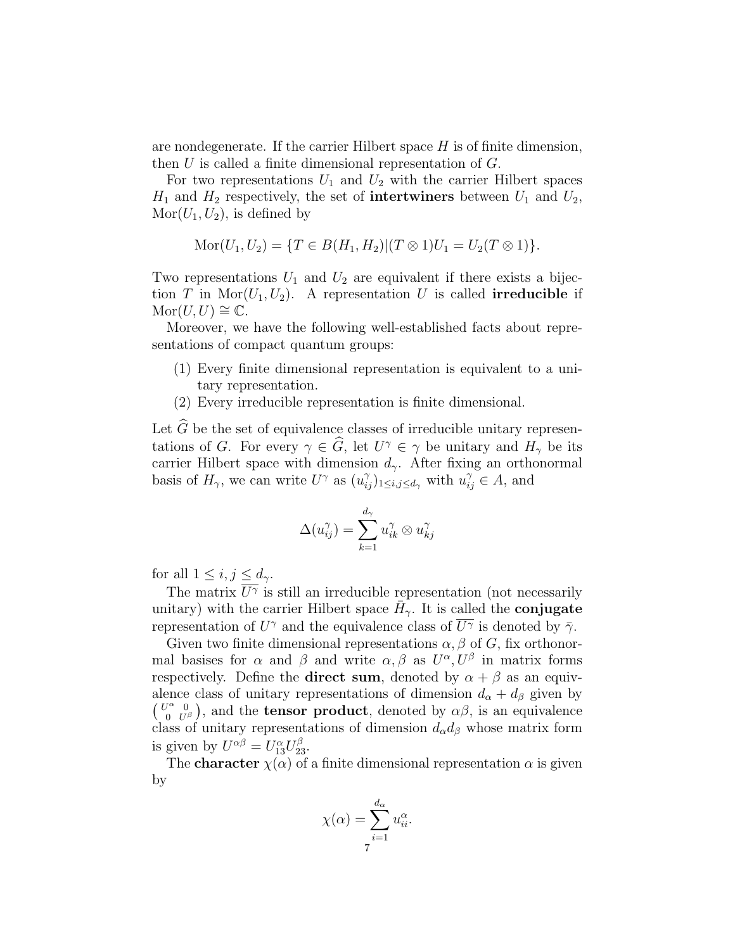are nondegenerate. If the carrier Hilbert space  $H$  is of finite dimension, then  $U$  is called a finite dimensional representation of  $G$ .

For two representations  $U_1$  and  $U_2$  with the carrier Hilbert spaces  $H_1$  and  $H_2$  respectively, the set of **intertwiners** between  $U_1$  and  $U_2$ ,  $\text{Mor}(U_1, U_2)$ , is defined by

$$
Mor(U_1, U_2) = \{ T \in B(H_1, H_2) | (T \otimes 1)U_1 = U_2(T \otimes 1) \}.
$$

Two representations  $U_1$  and  $U_2$  are equivalent if there exists a bijection T in Mor $(U_1, U_2)$ . A representation U is called **irreducible** if  $\text{Mor}(U, U) \cong \mathbb{C}.$ 

Moreover, we have the following well-established facts about representations of compact quantum groups:

- (1) Every finite dimensional representation is equivalent to a unitary representation.
- (2) Every irreducible representation is finite dimensional.

Let  $\widehat{G}$  be the set of equivalence classes of irreducible unitary representations of G. For every  $\gamma \in \widehat{G}$ , let  $U^{\gamma} \in \gamma$  be unitary and  $H_{\gamma}$  be its carrier Hilbert space with dimension  $d_{\gamma}$ . After fixing an orthonormal basis of  $H_{\gamma}$ , we can write  $U^{\gamma}$  as  $(u_{ij}^{\gamma})_{1 \leq i,j \leq d_{\gamma}}$  with  $u_{ij}^{\gamma} \in A$ , and

$$
\Delta(u_{ij}^\gamma)=\sum_{k=1}^{d_\gamma}u_{ik}^\gamma\otimes u_{kj}^\gamma
$$

for all  $1 \leq i, j \leq d_{\gamma}$ .

The matrix  $\overline{U^{\gamma}}$  is still an irreducible representation (not necessarily unitary) with the carrier Hilbert space  $\bar{H}_{\gamma}$ . It is called the **conjugate** representation of  $U^{\gamma}$  and the equivalence class of  $\overline{U^{\gamma}}$  is denoted by  $\overline{\gamma}$ .

Given two finite dimensional representations  $\alpha$ ,  $\beta$  of G, fix orthonormal basises for  $\alpha$  and  $\beta$  and write  $\alpha, \beta$  as  $U^{\alpha}, U^{\beta}$  in matrix forms respectively. Define the **direct sum**, denoted by  $\alpha + \beta$  as an equivalence class of unitary representations of dimension  $d_{\alpha} + d_{\beta}$  given by  $\begin{pmatrix} U^{\alpha} & 0 \\ 0 & U \end{pmatrix}$  $\begin{pmatrix} \n\alpha & 0 \\
0 & U^{\beta}\n\end{pmatrix}$ , and the **tensor product**, denoted by  $\alpha\beta$ , is an equivalence class of unitary representations of dimension  $d_{\alpha}d_{\beta}$  whose matrix form is given by  $U^{\alpha\beta} = U_{13}^{\alpha} U_{23}^{\beta}$ .

The **character**  $\chi(\alpha)$  of a finite dimensional representation  $\alpha$  is given by

$$
\chi(\alpha) = \sum_{i=1}^{d_{\alpha}} u_{ii}^{\alpha}.
$$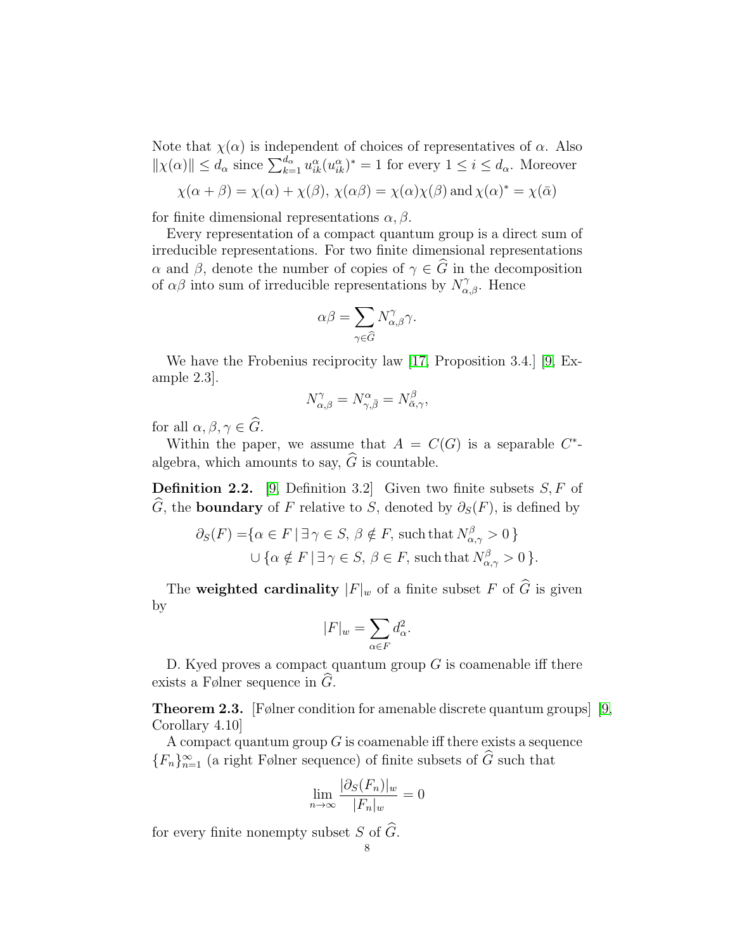Note that  $\chi(\alpha)$  is independent of choices of representatives of  $\alpha$ . Also  $\|\chi(\alpha)\| \le d_\alpha$  since  $\sum_{k=1}^{d_\alpha} u_{ik}^\alpha (u_{ik}^\alpha)^* = 1$  for every  $1 \le i \le d_\alpha$ . Moreover

$$
\chi(\alpha + \beta) = \chi(\alpha) + \chi(\beta), \ \chi(\alpha\beta) = \chi(\alpha)\chi(\beta)
$$
 and  $\chi(\alpha)^* = \chi(\bar{\alpha})$ 

for finite dimensional representations  $\alpha, \beta$ .

Every representation of a compact quantum group is a direct sum of irreducible representations. For two finite dimensional representations α and β, denote the number of copies of  $\gamma \in \widehat{G}$  in the decomposition of  $\alpha\beta$  into sum of irreducible representations by  $N^{\gamma}_{\alpha,\beta}$ . Hence

$$
\alpha\beta=\sum_{\gamma\in\widehat{G}}N_{\alpha,\beta}^{\gamma}\gamma.
$$

We have the Frobenius reciprocity law [\[17,](#page-17-4) Proposition 3.4.] [\[9,](#page-16-2) Example 2.3].

$$
N_{\alpha,\beta}^{\gamma} = N_{\gamma,\bar{\beta}}^{\alpha} = N_{\bar{\alpha},\gamma}^{\beta},
$$

for all  $\alpha, \beta, \gamma \in \widehat{G}$ .

Within the paper, we assume that  $A = C(G)$  is a separable  $C^*$ algebra, which amounts to say,  $\widehat{G}$  is countable.

**Definition 2.2.** [\[9,](#page-16-2) Definition 3.2] Given two finite subsets  $S, F$  of  $\widehat{G}$ , the **boundary** of F relative to S, denoted by  $\partial_S(F)$ , is defined by

$$
\partial_S(F) = \{ \alpha \in F \mid \exists \gamma \in S, \beta \notin F, \text{ such that } N_{\alpha,\gamma}^{\beta} > 0 \}
$$
  

$$
\cup \{ \alpha \notin F \mid \exists \gamma \in S, \beta \in F, \text{ such that } N_{\alpha,\gamma}^{\beta} > 0 \}.
$$

The weighted cardinality  $|F|_w$  of a finite subset F of  $\widehat{G}$  is given by

$$
|F|_w = \sum_{\alpha \in F} d_{\alpha}^2.
$$

D. Kyed proves a compact quantum group  $G$  is coamenable iff there exists a Følner sequence in  $G$ .

<span id="page-7-0"></span>Theorem 2.3. [Følner condition for amenable discrete quantum groups] [\[9,](#page-16-2) Corollary 4.10]

A compact quantum group  $G$  is coamenable iff there exists a sequence  ${F_n}_{n=1}^{\infty}$  (a right Følner sequence) of finite subsets of  $\widehat{G}$  such that

$$
\lim_{n \to \infty} \frac{|\partial_S(F_n)|_w}{|F_n|_w} = 0
$$

for every finite nonempty subset S of  $\widehat{G}$ .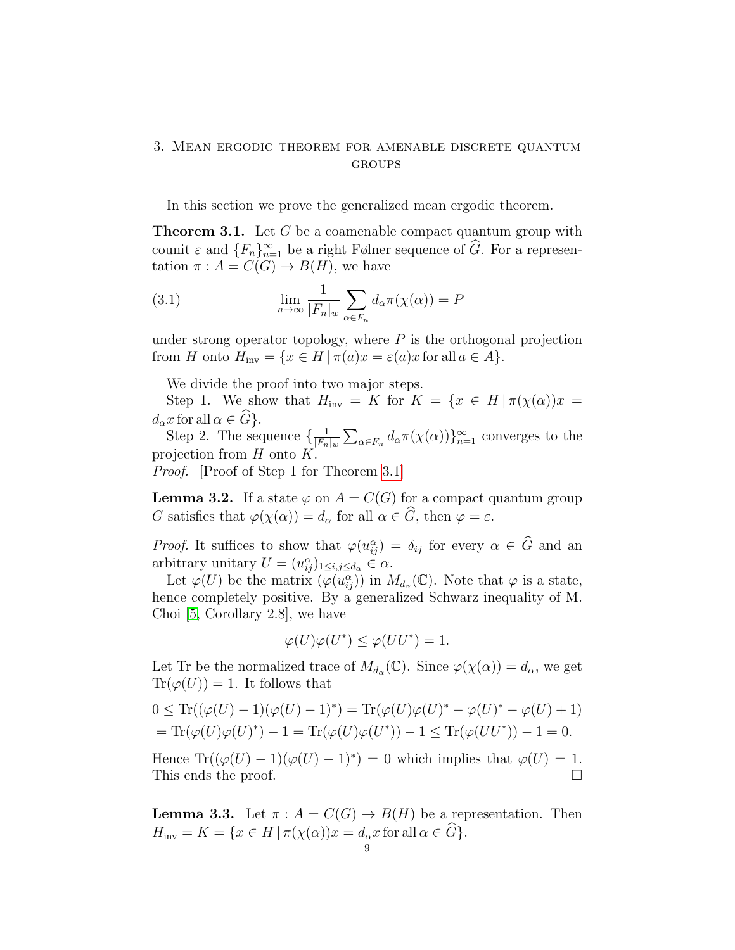# <span id="page-8-0"></span>3. Mean ergodic theorem for amenable discrete quantum GROUPS

In this section we prove the generalized mean ergodic theorem.

<span id="page-8-1"></span>**Theorem 3.1.** Let G be a coamenable compact quantum group with counit  $\varepsilon$  and  $\{F_n\}_{n=1}^{\infty}$  be a right Følner sequence of  $\widehat{G}$ . For a representation  $\pi : A = C(G) \rightarrow B(H)$ , we have

<span id="page-8-3"></span>(3.1) 
$$
\lim_{n \to \infty} \frac{1}{|F_n|_w} \sum_{\alpha \in F_n} d_{\alpha} \pi(\chi(\alpha)) = P
$$

under strong operator topology, where  $P$  is the orthogonal projection from H onto  $H_{\text{inv}} = \{x \in H | \pi(a)x = \varepsilon(a)x \text{ for all } a \in A\}.$ 

We divide the proof into two major steps.

Step 1. We show that  $H_{\text{inv}} = K$  for  $K = \{x \in H | \pi(\chi(\alpha))x =$  $d_{\alpha}x$  for all  $\alpha \in \widehat{G}$ .

Step 2. The sequence  $\left\{\frac{1}{|F|}\right\}$  $\frac{1}{|F_n|_w} \sum_{\alpha \in F_n} d_{\alpha} \pi(\chi(\alpha))\}_{n=1}^{\infty}$  converges to the projection from  $H$  onto  $K$ .

Proof. [Proof of Step 1 for Theorem [3.1\]](#page-8-1)

<span id="page-8-2"></span>**Lemma 3.2.** If a state  $\varphi$  on  $A = C(G)$  for a compact quantum group G satisfies that  $\varphi(\chi(\alpha)) = d_{\alpha}$  for all  $\alpha \in \widehat{G}$ , then  $\varphi = \varepsilon$ .

*Proof.* It suffices to show that  $\varphi(u_{ij}^{\alpha}) = \delta_{ij}$  for every  $\alpha \in \widehat{G}$  and an arbitrary unitary  $U = (u_{ij}^{\alpha})_{1 \leq i,j \leq d_{\alpha}} \in \alpha$ .

Let  $\varphi(U)$  be the matrix  $(\varphi(u_{ij}^{\alpha}))$  in  $M_{d_{\alpha}}(\mathbb{C})$ . Note that  $\varphi$  is a state, hence completely positive. By a generalized Schwarz inequality of M. Choi [\[5,](#page-16-8) Corollary 2.8], we have

$$
\varphi(U)\varphi(U^*) \le \varphi(UU^*) = 1.
$$

Let Tr be the normalized trace of  $M_{d_{\alpha}}(\mathbb{C})$ . Since  $\varphi(\chi(\alpha)) = d_{\alpha}$ , we get  $\text{Tr}(\varphi(U)) = 1$ . It follows that

$$
0 \le \mathrm{Tr}((\varphi(U) - 1)(\varphi(U) - 1)^*) = \mathrm{Tr}(\varphi(U)\varphi(U)^* - \varphi(U)^* - \varphi(U) + 1)
$$
  
=  $\mathrm{Tr}(\varphi(U)\varphi(U)^*) - 1 = \mathrm{Tr}(\varphi(U)\varphi(U^*)) - 1 \le \mathrm{Tr}(\varphi(UU^*)) - 1 = 0.$ 

Hence  $\text{Tr}((\varphi(U) - 1)(\varphi(U) - 1)^*) = 0$  which implies that  $\varphi(U) = 1$ . This ends the proof.

**Lemma 3.3.** Let  $\pi : A = C(G) \rightarrow B(H)$  be a representation. Then  $H_{\text{inv}} = K = \{x \in H \mid \pi(\chi(\alpha))x = d_{\alpha}x \text{ for all } \alpha \in \widehat{G}\}.$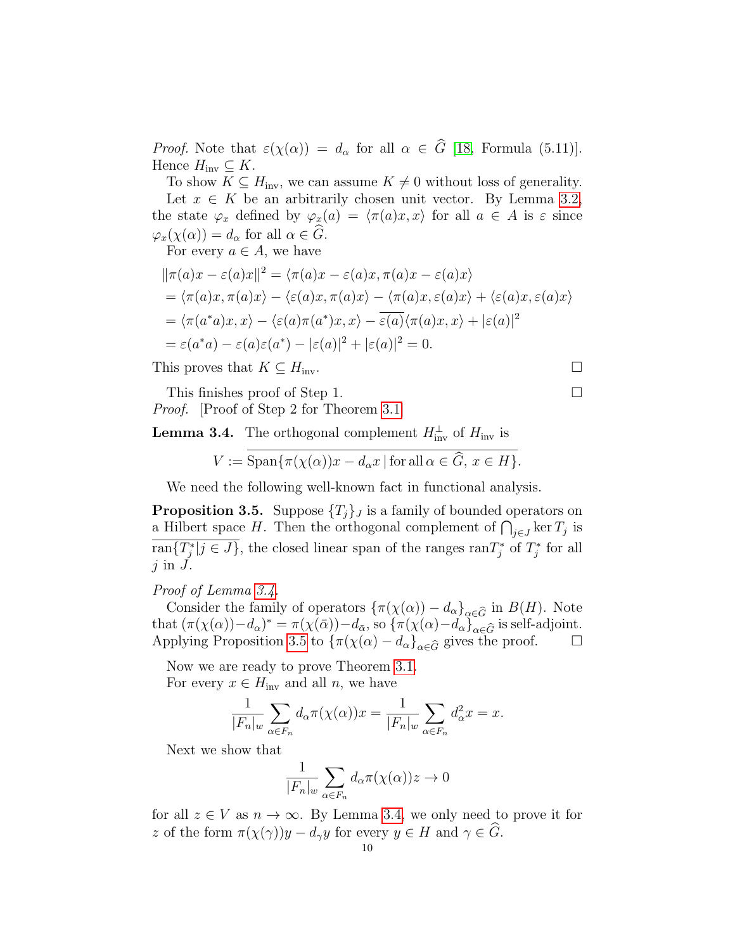*Proof.* Note that  $\varepsilon(\chi(\alpha)) = d_{\alpha}$  for all  $\alpha \in \widehat{G}$  [\[18,](#page-17-5) Formula (5.11)]. Hence  $H_{\text{inv}} \subseteq K$ .

To show  $K \subseteq H_{\text{inv}}$ , we can assume  $K \neq 0$  without loss of generality. Let  $x \in K$  be an arbitrarily chosen unit vector. By Lemma [3.2,](#page-8-2) the state  $\varphi_x$  defined by  $\varphi_x(a) = \langle \pi(a)x, x \rangle$  for all  $a \in A$  is  $\varepsilon$  since  $\varphi_x(\chi(\alpha)) = d_\alpha$  for all  $\alpha \in G$ .

For every  $a \in A$ , we have

$$
\begin{aligned} \|\pi(a)x - \varepsilon(a)x\|^2 &= \langle \pi(a)x - \varepsilon(a)x, \pi(a)x - \varepsilon(a)x \rangle \\ &= \langle \pi(a)x, \pi(a)x \rangle - \langle \varepsilon(a)x, \pi(a)x \rangle - \langle \pi(a)x, \varepsilon(a)x \rangle + \langle \varepsilon(a)x, \varepsilon(a)x \rangle \\ &= \langle \pi(a^*a)x, x \rangle - \langle \varepsilon(a)\pi(a^*)x, x \rangle - \overline{\varepsilon(a)} \langle \pi(a)x, x \rangle + |\varepsilon(a)|^2 \\ &= \varepsilon(a^*a) - \varepsilon(a)\varepsilon(a^*) - |\varepsilon(a)|^2 + |\varepsilon(a)|^2 = 0. \end{aligned}
$$

This proves that  $K \subseteq H_{\text{inv}}$ .

This finishes proof of Step 1. Proof. [Proof of Step 2 for Theorem [3.1\]](#page-8-1)

<span id="page-9-0"></span>**Lemma 3.4.** The orthogonal complement  $H_{\text{inv}}^{\perp}$  of  $H_{\text{inv}}$  is

$$
V := \overline{\text{Span}\{\pi(\chi(\alpha))x - d_{\alpha}x \,|\, \text{for all }\alpha\in\widehat{G},\,x\in H\}}.
$$

We need the following well-known fact in functional analysis.

<span id="page-9-1"></span>**Proposition 3.5.** Suppose  $\{T_i\}_j$  is a family of bounded operators on a Hilbert space H. Then the orthogonal complement of  $\bigcap_{j\in J}$  ker  $T_j$  is  $\overline{\text{ran}\{T_j^*\,|\,j\in J\}}$ , the closed linear span of the ranges  $\text{ran}T_j^*$  of  $T_j^*$  for all  $j$  in  $\ddot{J}$ .

### Proof of Lemma [3.4.](#page-9-0)

Consider the family of operators  $\{\pi(\chi(\alpha)) - d_{\alpha}\}_{{\alpha} \in \widehat{G}}$  in  $B(H)$ . Note that  $(\pi(\chi(\alpha)) - d_{\alpha})^* = \pi(\chi(\bar{\alpha})) - d_{\bar{\alpha}}$ , so  $\{\pi(\chi(\alpha) - d_{\alpha}\}_{\alpha \in \widehat{G}}$  is self-adjoint. Applying Proposition [3.5](#page-9-1) to  $\{\pi(\chi(\alpha) - d_{\alpha}\}_{{\alpha} \in \widehat{G}}\}$  gives the proof.  $\square$ 

Now we are ready to prove Theorem [3.1.](#page-8-1)

For every  $x \in H_{\text{inv}}$  and all n, we have

$$
\frac{1}{|F_n|_w} \sum_{\alpha \in F_n} d_{\alpha} \pi(\chi(\alpha)) x = \frac{1}{|F_n|_w} \sum_{\alpha \in F_n} d_{\alpha}^2 x = x.
$$

Next we show that

$$
\frac{1}{|F_n|_w} \sum_{\alpha \in F_n} d_{\alpha} \pi(\chi(\alpha)) z \to 0
$$

for all  $z \in V$  as  $n \to \infty$ . By Lemma [3.4,](#page-9-0) we only need to prove it for z of the form  $\pi(\chi(\gamma))y - d_{\gamma}y$  for every  $y \in H$  and  $\gamma \in \widehat{G}$ .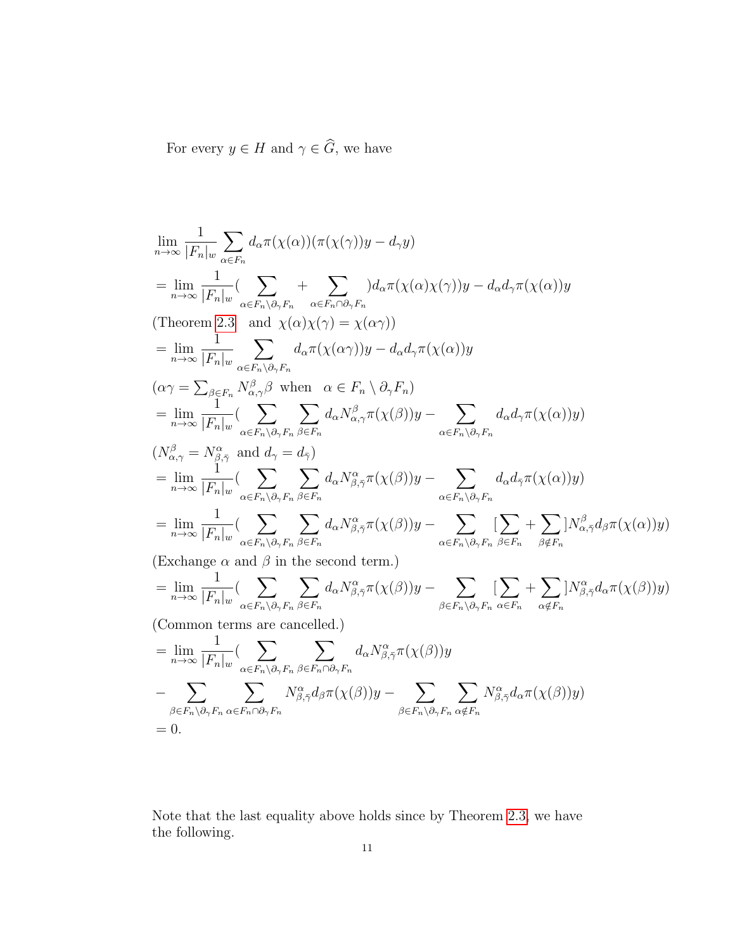For every  $y\in H$  and  $\gamma\in \widehat{G},$  we have

$$
\lim_{n\to\infty} \frac{1}{|F_n|_w} \sum_{\alpha\in F_n} d_{\alpha}\pi(\chi(\alpha))(\pi(\chi(\gamma))y - d_{\gamma}y)
$$
\n
$$
= \lim_{n\to\infty} \frac{1}{|F_n|_w} (\sum_{\alpha\in F_n\backslash\partial, F_n} + \sum_{\alpha\in F_n\cap\partial, F_n} d_{\alpha}\pi(\chi(\alpha)\chi(\gamma))y - d_{\alpha}d_{\gamma}\pi(\chi(\alpha))y
$$
\n(Theorem 2.3 and  $\chi(\alpha)\chi(\gamma) = \chi(\alpha\gamma)$ )  
\n
$$
= \lim_{n\to\infty} \frac{1}{|F_n|_w} \sum_{\alpha\in F_n\backslash\partial, F_n} d_{\alpha}\pi(\chi(\alpha\gamma))y - d_{\alpha}d_{\gamma}\pi(\chi(\alpha))y
$$
\n
$$
(\alpha\gamma = \sum_{\beta\in F_n} N_{\alpha,\gamma}^{\beta} \beta \text{ when } \alpha\in F_n \setminus \partial_{\gamma}F_n)
$$
\n
$$
= \lim_{n\to\infty} \frac{1}{|F_n|_w} (\sum_{\alpha\in F_n\backslash\partial, F_n} \sum_{\beta\in F_n} d_{\alpha}N_{\alpha,\gamma}^{\beta}\pi(\chi(\beta))y - \sum_{\alpha\in F_n\backslash\partial, F_n} d_{\alpha}d_{\gamma}\pi(\chi(\alpha))y)
$$
\n
$$
(N_{\alpha,\gamma}^{\beta} = N_{\beta,\tilde{\gamma}}^{\alpha} \text{ and } d_{\gamma} = d_{\gamma})
$$
\n
$$
= \lim_{n\to\infty} \frac{1}{|F_n|_w} (\sum_{\alpha\in F_n\backslash\partial, F_n} \sum_{\beta\in F_n} d_{\alpha}N_{\beta,\tilde{\gamma}}^{\alpha}\pi(\chi(\beta))y - \sum_{\alpha\in F_n\backslash\partial, F_n} d_{\alpha}d_{\gamma}\pi(\chi(\alpha))y)
$$
\n
$$
= \lim_{n\to\infty} \frac{1}{|F_n|_w} (\sum_{\alpha\in F_n\backslash\partial, F_n} \sum_{\beta\in F_n} d_{\alpha}N_{\beta,\tilde{\gamma}}^{\alpha}\pi(\chi(\beta))y - \sum_{\alpha\in F_n\backslash\partial, F_n} \sum_{\beta\in F_n} \sum_{\beta\notin F_n}
$$

Note that the last equality above holds since by Theorem [2.3,](#page-7-0) we have the following.

 $= 0.$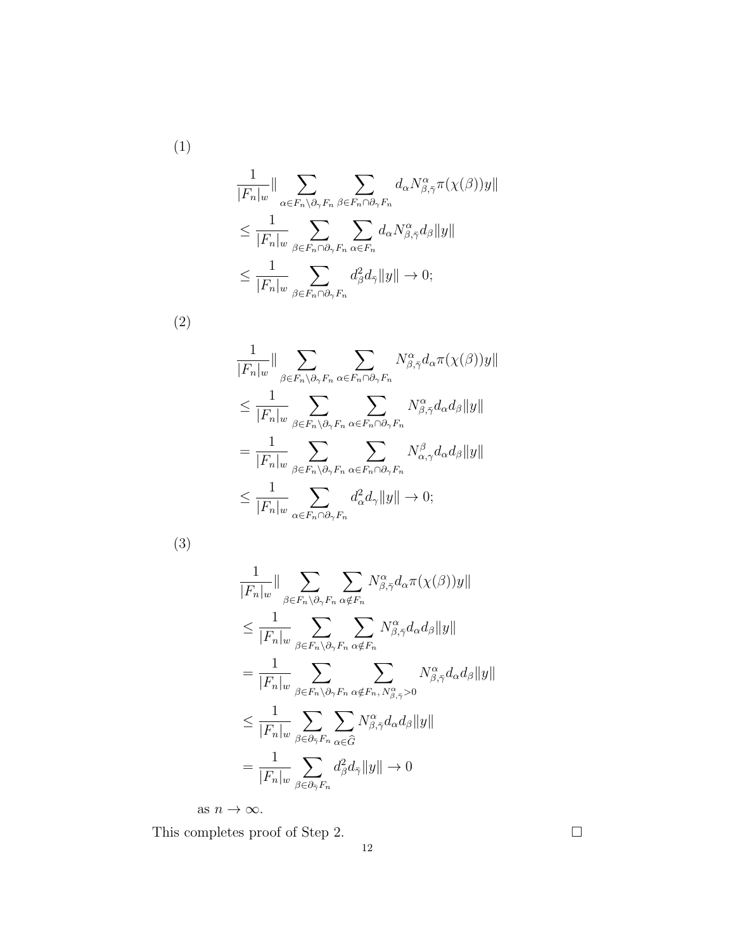$$
\frac{1}{|F_n|_w} \|\sum_{\alpha \in F_n \setminus \partial_\gamma F_n} \sum_{\beta \in F_n \cap \partial_\gamma F_n} d_\alpha N_{\beta, \bar{\gamma}}^\alpha \pi(\chi(\beta)) y \|
$$
  
\n
$$
\leq \frac{1}{|F_n|_w} \sum_{\beta \in F_n \cap \partial_\gamma F_n} \sum_{\alpha \in F_n} d_\alpha N_{\beta, \bar{\gamma}}^\alpha d_\beta \|y\|
$$
  
\n
$$
\leq \frac{1}{|F_n|_w} \sum_{\beta \in F_n \cap \partial_\gamma F_n} d_\beta^2 d_{\bar{\gamma}} \|y\| \to 0;
$$

(2)

(1)

$$
\frac{1}{|F_n|_w} \|\sum_{\beta \in F_n \backslash \partial_\gamma F_n} \sum_{\alpha \in F_n \cap \partial_\gamma F_n} N_{\beta, \bar{\gamma}}^{\alpha} d_\alpha \pi(\chi(\beta)) y \|
$$
\n
$$
\leq \frac{1}{|F_n|_w} \sum_{\beta \in F_n \backslash \partial_\gamma F_n} \sum_{\alpha \in F_n \cap \partial_\gamma F_n} N_{\beta, \bar{\gamma}}^{\alpha} d_\alpha d_\beta \|y \|
$$
\n
$$
= \frac{1}{|F_n|_w} \sum_{\beta \in F_n \backslash \partial_\gamma F_n} \sum_{\alpha \in F_n \cap \partial_\gamma F_n} N_{\alpha, \gamma}^{\beta} d_\alpha d_\beta \|y \|
$$
\n
$$
\leq \frac{1}{|F_n|_w} \sum_{\alpha \in F_n \cap \partial_\gamma F_n} d_\alpha^2 d_\gamma \|y\| \to 0;
$$

(3)

$$
\frac{1}{|F_n|_w} \|\sum_{\beta \in F_n \setminus \partial_\gamma F_n} \sum_{\alpha \notin F_n} N^{\alpha}_{\beta, \bar{\gamma}} d_\alpha \pi(\chi(\beta)) y \|
$$
\n
$$
\leq \frac{1}{|F_n|_w} \sum_{\beta \in F_n \setminus \partial_\gamma F_n} \sum_{\alpha \notin F_n} N^{\alpha}_{\beta, \bar{\gamma}} d_\alpha d_\beta \|y \|
$$
\n
$$
= \frac{1}{|F_n|_w} \sum_{\beta \in F_n \setminus \partial_\gamma F_n} \sum_{\alpha \notin F_n, N^{\alpha}_{\beta, \bar{\gamma}} > 0} N^{\alpha}_{\beta, \bar{\gamma}} d_\alpha d_\beta \|y \|
$$
\n
$$
\leq \frac{1}{|F_n|_w} \sum_{\beta \in \partial_{\bar{\gamma}} F_n} \sum_{\alpha \in \widehat{G}} N^{\alpha}_{\beta, \bar{\gamma}} d_\alpha d_\beta \|y \|
$$
\n
$$
= \frac{1}{|F_n|_w} \sum_{\beta \in \partial_{\bar{\gamma}} F_n} d^2_\beta d_{\bar{\gamma}} \|y\| \to 0
$$

as  $n \to \infty$ .

This completes proof of Step 2.  $\hfill \square$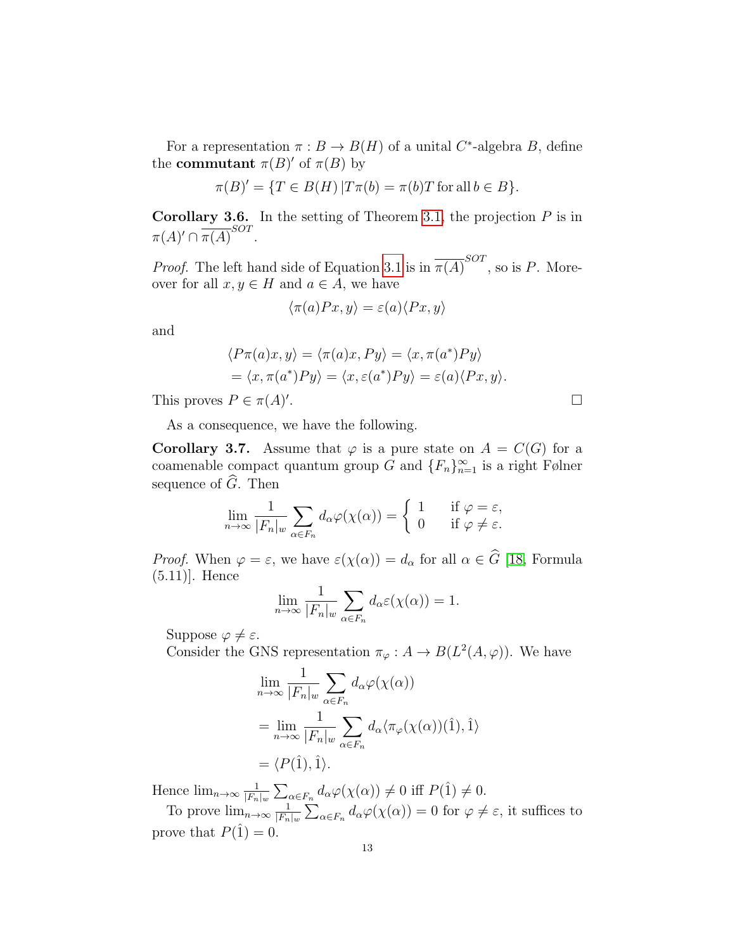For a representation  $\pi : B \to B(H)$  of a unital C<sup>\*</sup>-algebra B, define the **commutant**  $\pi(B)'$  of  $\pi(B)$  by

$$
\pi(B)' = \{ T \in B(H) | T\pi(b) = \pi(b)T \text{ for all } b \in B \}.
$$

<span id="page-12-1"></span>**Corollary 3.6.** In the setting of Theorem [3.1,](#page-8-1) the projection  $P$  is in  $\pi(A)' \cap \overline{\pi(A)}^{SOT}.$ 

*Proof.* The left hand side of Equation [3.1](#page-8-3) is in  $\overline{\pi(A)}^{SOT}$ , so is P. Moreover for all  $x, y \in H$  and  $a \in A$ , we have

$$
\langle \pi(a)Px, y \rangle = \varepsilon(a) \langle Px, y \rangle
$$

and

$$
\langle P\pi(a)x, y \rangle = \langle \pi(a)x, Py \rangle = \langle x, \pi(a^*)Py \rangle
$$
  
=  $\langle x, \pi(a^*)Py \rangle = \langle x, \varepsilon(a^*)Py \rangle = \varepsilon(a)\langle Px, y \rangle.$ 

This proves  $P \in \pi(A)'$ 

.

As a consequence, we have the following.

<span id="page-12-0"></span>**Corollary 3.7.** Assume that  $\varphi$  is a pure state on  $A = C(G)$  for a coamenable compact quantum group G and  ${F_n}_{n=1}^{\infty}$  is a right Følner sequence of  $\widehat{G}$ . Then

$$
\lim_{n \to \infty} \frac{1}{|F_n|_w} \sum_{\alpha \in F_n} d_{\alpha} \varphi(\chi(\alpha)) = \begin{cases} 1 & \text{if } \varphi = \varepsilon, \\ 0 & \text{if } \varphi \neq \varepsilon. \end{cases}
$$

*Proof.* When  $\varphi = \varepsilon$ , we have  $\varepsilon(\chi(\alpha)) = d_{\alpha}$  for all  $\alpha \in \widehat{G}$  [\[18,](#page-17-5) Formula (5.11)]. Hence

$$
\lim_{n \to \infty} \frac{1}{|F_n|_w} \sum_{\alpha \in F_n} d_{\alpha} \varepsilon(\chi(\alpha)) = 1.
$$

Suppose  $\varphi \neq \varepsilon$ .

Consider the GNS representation  $\pi_{\varphi}: A \to B(L^2(A, \varphi))$ . We have

$$
\lim_{n \to \infty} \frac{1}{|F_n|_w} \sum_{\alpha \in F_n} d_{\alpha} \varphi(\chi(\alpha))
$$
  
= 
$$
\lim_{n \to \infty} \frac{1}{|F_n|_w} \sum_{\alpha \in F_n} d_{\alpha} \langle \pi_{\varphi}(\chi(\alpha))(\hat{1}), \hat{1} \rangle
$$
  
= 
$$
\langle P(\hat{1}), \hat{1} \rangle.
$$

Hence  $\lim_{n\to\infty} \frac{1}{|F_n|}$  $\frac{1}{|F_n|_w} \sum_{\alpha \in F_n} d_{\alpha} \varphi(\chi(\alpha)) \neq 0$  iff  $P(\hat{1}) \neq 0$ .

To prove  $\lim_{n\to\infty} \frac{1}{|F_n|}$  $\frac{1}{|F_n|_w} \sum_{\alpha \in F_n} d_{\alpha} \varphi(\chi(\alpha)) = 0$  for  $\varphi \neq \varepsilon$ , it suffices to prove that  $P(\hat{1}) = 0$ .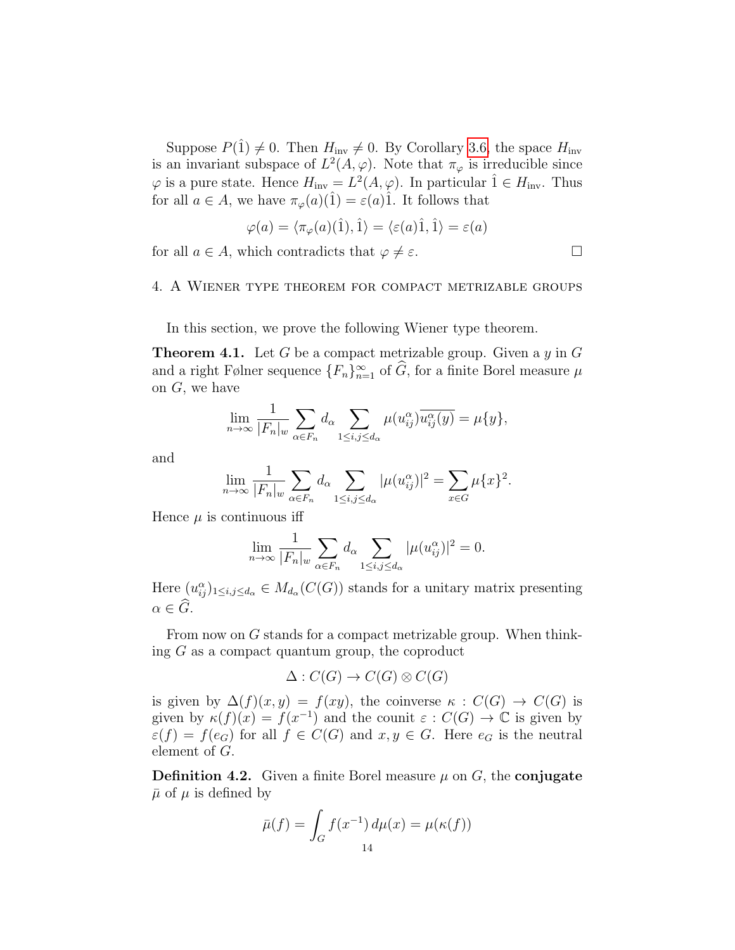Suppose  $P(\hat{1}) \neq 0$ . Then  $H_{\text{inv}} \neq 0$ . By Corollary [3.6,](#page-12-1) the space  $H_{\text{inv}}$ is an invariant subspace of  $L^2(A, \varphi)$ . Note that  $\pi_{\varphi}$  is irreducible since  $\varphi$  is a pure state. Hence  $H_{\text{inv}} = L^2(A, \varphi)$ . In particular  $\hat{1} \in H_{\text{inv}}$ . Thus for all  $a \in A$ , we have  $\pi_{\varphi}(a)(\hat{1}) = \varepsilon(a)\hat{1}$ . It follows that

$$
\varphi(a) = \langle \pi_{\varphi}(a)(\hat{1}), \hat{1} \rangle = \langle \varepsilon(a)\hat{1}, \hat{1} \rangle = \varepsilon(a)
$$

for all  $a \in A$ , which contradicts that  $\varphi \neq \varepsilon$ .

$$
f_{\rm{max}}
$$

#### <span id="page-13-0"></span>4. A Wiener type theorem for compact metrizable groups

In this section, we prove the following Wiener type theorem.

<span id="page-13-1"></span>**Theorem 4.1.** Let G be a compact metrizable group. Given a  $y$  in G and a right Følner sequence  $\{F_n\}_{n=1}^{\infty}$  of  $\widehat{G}$ , for a finite Borel measure  $\mu$ on  $G$ , we have

$$
\lim_{n \to \infty} \frac{1}{|F_n|_w} \sum_{\alpha \in F_n} d_{\alpha} \sum_{1 \le i,j \le d_{\alpha}} \mu(u_{ij}^{\alpha}) \overline{u_{ij}^{\alpha}(y)} = \mu\{y\},\
$$

and

$$
\lim_{n \to \infty} \frac{1}{|F_n|_w} \sum_{\alpha \in F_n} d_{\alpha} \sum_{1 \le i,j \le d_{\alpha}} |\mu(u_{ij}^{\alpha})|^2 = \sum_{x \in G} \mu\{x\}^2.
$$

Hence  $\mu$  is continuous iff

$$
\lim_{n \to \infty} \frac{1}{|F_n|_w} \sum_{\alpha \in F_n} d_{\alpha} \sum_{1 \le i,j \le d_{\alpha}} |\mu(u_{ij}^{\alpha})|^2 = 0.
$$

Here  $(u_{ij}^{\alpha})_{1 \leq i,j \leq d_{\alpha}} \in M_{d_{\alpha}}(C(G))$  stands for a unitary matrix presenting  $\alpha \in \widehat{G}$ .

From now on G stands for a compact metrizable group. When thinking G as a compact quantum group, the coproduct

$$
\Delta: C(G) \to C(G) \otimes C(G)
$$

is given by  $\Delta(f)(x, y) = f(xy)$ , the coinverse  $\kappa : C(G) \to C(G)$  is given by  $\kappa(f)(x) = f(x^{-1})$  and the counit  $\varepsilon : C(G) \to \mathbb{C}$  is given by  $\varepsilon(f) = f(e_G)$  for all  $f \in C(G)$  and  $x, y \in G$ . Here  $e_G$  is the neutral element of G.

**Definition 4.2.** Given a finite Borel measure  $\mu$  on G, the **conjugate**  $\bar{\mu}$  of  $\mu$  is defined by

$$
\bar{\mu}(f) = \int_G f(x^{-1}) d\mu(x) = \mu(\kappa(f))
$$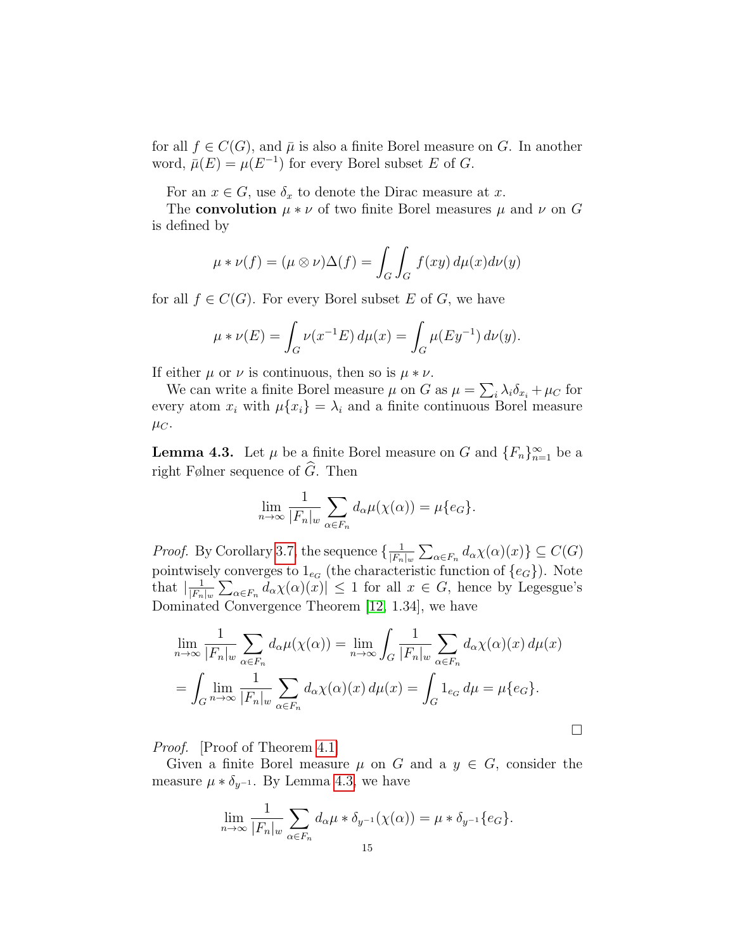for all  $f \in C(G)$ , and  $\overline{\mu}$  is also a finite Borel measure on G. In another word,  $\bar{\mu}(E) = \mu(E^{-1})$  for every Borel subset E of G.

For an  $x \in G$ , use  $\delta_x$  to denote the Dirac measure at x.

The **convolution**  $\mu * \nu$  of two finite Borel measures  $\mu$  and  $\nu$  on G is defined by

$$
\mu * \nu(f) = (\mu \otimes \nu)\Delta(f) = \int_G \int_G f(xy) d\mu(x) d\nu(y)
$$

for all  $f \in C(G)$ . For every Borel subset E of G, we have

$$
\mu * \nu(E) = \int_G \nu(x^{-1}E) \, d\mu(x) = \int_G \mu(Ey^{-1}) \, d\nu(y).
$$

If either  $\mu$  or  $\nu$  is continuous, then so is  $\mu * \nu$ .

We can write a finite Borel measure  $\mu$  on G as  $\mu = \sum_i \lambda_i \delta_{x_i} + \mu_C$  for every atom  $x_i$  with  $\mu\{x_i\} = \lambda_i$  and a finite continuous Borel measure  $\mu_C$ .

<span id="page-14-0"></span>**Lemma 4.3.** Let  $\mu$  be a finite Borel measure on G and  $\{F_n\}_{n=1}^{\infty}$  be a right Følner sequence of  $\widehat{G}$ . Then

$$
\lim_{n \to \infty} \frac{1}{|F_n|_w} \sum_{\alpha \in F_n} d_{\alpha} \mu(\chi(\alpha)) = \mu\{e_G\}.
$$

*Proof.* By Corollary [3.7,](#page-12-0) the sequence  $\left\{\frac{1}{|F|}\right\}$  $\frac{1}{|F_n|_w} \sum_{\alpha \in F_n} d_{\alpha} \chi(\alpha)(x) \} \subseteq C(G)$ pointwisely converges to  $1_{e_G}$  (the characteristic function of  $\{e_G\}$ ). Note that  $\frac{1}{F}$  $\frac{1}{|F_n|_w} \sum_{\alpha \in F_n} d_\alpha \chi(\alpha)(x) \leq 1$  for all  $x \in G$ , hence by Legesgue's Dominated Convergence Theorem [\[12,](#page-17-6) 1.34], we have

$$
\lim_{n \to \infty} \frac{1}{|F_n|_w} \sum_{\alpha \in F_n} d_{\alpha} \mu(\chi(\alpha)) = \lim_{n \to \infty} \int_G \frac{1}{|F_n|_w} \sum_{\alpha \in F_n} d_{\alpha} \chi(\alpha)(x) d\mu(x)
$$

$$
= \int_G \lim_{n \to \infty} \frac{1}{|F_n|_w} \sum_{\alpha \in F_n} d_{\alpha} \chi(\alpha)(x) d\mu(x) = \int_G 1_{e_G} d\mu = \mu\{e_G\}.
$$

Proof. [Proof of Theorem [4.1\]](#page-13-1)

Given a finite Borel measure  $\mu$  on G and a  $y \in G$ , consider the measure  $\mu * \delta_{y^{-1}}$ . By Lemma [4.3,](#page-14-0) we have

$$
\lim_{n \to \infty} \frac{1}{|F_n|_w} \sum_{\alpha \in F_n} d_{\alpha} \mu * \delta_{y^{-1}}(\chi(\alpha)) = \mu * \delta_{y^{-1}}\{e_G\}.
$$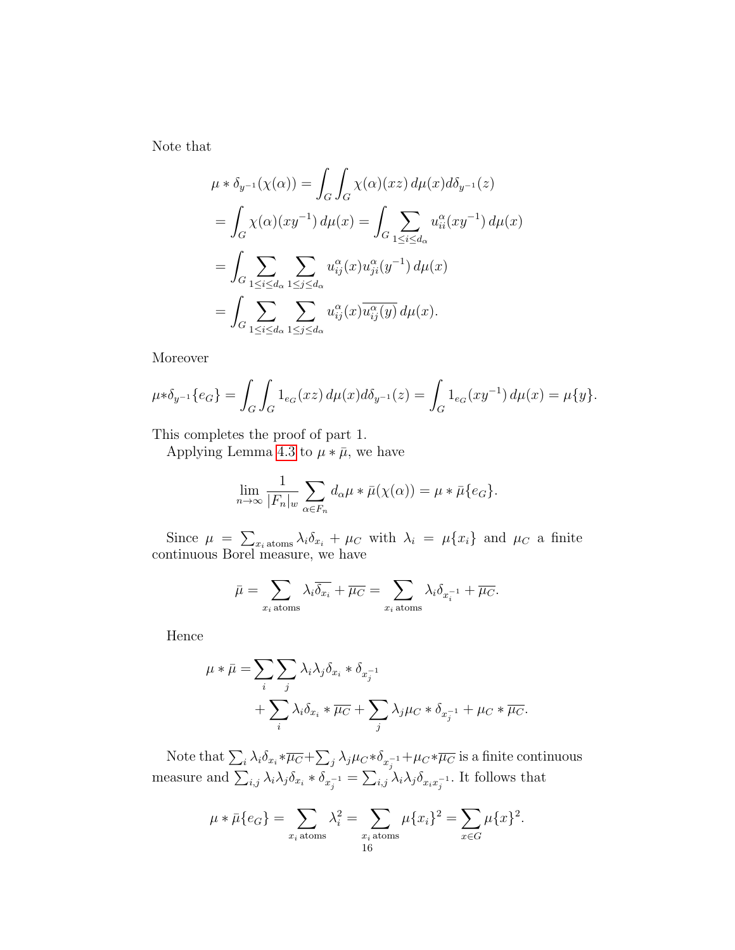Note that

$$
\mu * \delta_{y^{-1}}(\chi(\alpha)) = \int_G \int_G \chi(\alpha)(xz) d\mu(x) d\delta_{y^{-1}}(z)
$$
  
= 
$$
\int_G \chi(\alpha)(xy^{-1}) d\mu(x) = \int_G \sum_{1 \le i \le d_\alpha} u_{ii}^\alpha(xy^{-1}) d\mu(x)
$$
  
= 
$$
\int_G \sum_{1 \le i \le d_\alpha} \sum_{1 \le j \le d_\alpha} u_{ij}^\alpha(x) u_{ji}^\alpha(y^{-1}) d\mu(x)
$$
  
= 
$$
\int_G \sum_{1 \le i \le d_\alpha} \sum_{1 \le j \le d_\alpha} u_{ij}^\alpha(x) \overline{u_{ij}^\alpha(y)} d\mu(x).
$$

Moreover

$$
\mu * \delta_{y^{-1}} \{e_G\} = \int_G \int_G 1_{e_G}(xz) \, d\mu(x) d\delta_{y^{-1}}(z) = \int_G 1_{e_G}(xy^{-1}) \, d\mu(x) = \mu\{y\}.
$$

This completes the proof of part 1.

Applying Lemma [4.3](#page-14-0) to  $\mu * \bar{\mu}$ , we have

$$
\lim_{n \to \infty} \frac{1}{|F_n|_{w}} \sum_{\alpha \in F_n} d_{\alpha} \mu * \bar{\mu}(\chi(\alpha)) = \mu * \bar{\mu} \{e_G\}.
$$

Since  $\mu = \sum_{x_i \text{ atoms}} \lambda_i \delta_{x_i} + \mu_C$  with  $\lambda_i = \mu\{x_i\}$  and  $\mu_C$  a finite continuous Borel measure, we have

$$
\bar{\mu} = \sum_{x_i \text{ atoms}} \lambda_i \overline{\delta_{x_i}} + \overline{\mu_C} = \sum_{x_i \text{ atoms}} \lambda_i \delta_{x_i^{-1}} + \overline{\mu_C}.
$$

Hence

$$
\mu * \bar{\mu} = \sum_{i} \sum_{j} \lambda_i \lambda_j \delta_{x_i} * \delta_{x_j^{-1}} + \sum_{i} \lambda_i \delta_{x_i} * \overline{\mu_C} + \sum_{j} \lambda_j \mu_C * \delta_{x_j^{-1}} + \mu_C * \overline{\mu_C}.
$$

Note that  $\sum_i \lambda_i \delta_{x_i} * \overline{\mu_C} + \sum_j \lambda_j \mu_C * \delta_{x_j^{-1}} + \mu_C * \overline{\mu_C}$  is a finite continuous measure and  $\sum_{i,j}\lambda_i\lambda_j\delta_{x_i}*\delta_{x_j^{-1}}=\sum_{i,j}\lambda_i\lambda_j\delta_{x_ix_j^{-1}}$ . It follows that

$$
\mu * \bar{\mu} \{e_G\} = \sum_{x_i \text{ atoms}} \lambda_i^2 = \sum_{\substack{x_i \text{ atoms} \\ 16}} \mu \{x_i\}^2 = \sum_{x \in G} \mu \{x\}^2.
$$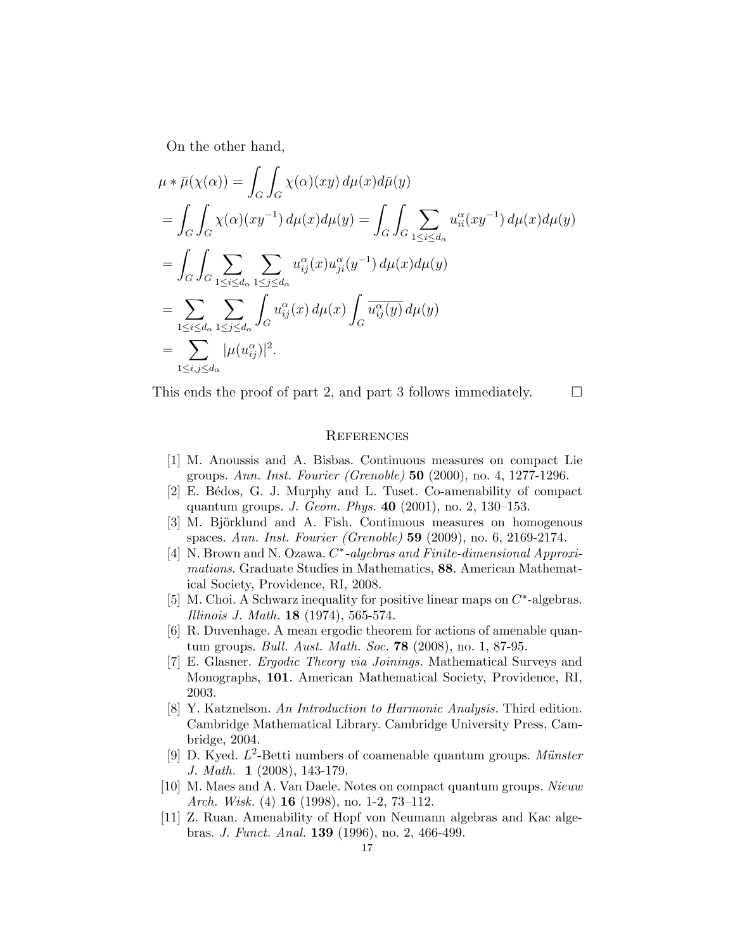On the other hand,

$$
\mu * \bar{\mu}(\chi(\alpha)) = \int_G \int_G \chi(\alpha)(xy) d\mu(x) d\bar{\mu}(y)
$$
  
= 
$$
\int_G \int_G \chi(\alpha)(xy^{-1}) d\mu(x) d\mu(y) = \int_G \int_G \sum_{1 \le i \le d_\alpha} u_{ii}^\alpha(xy^{-1}) d\mu(x) d\mu(y)
$$
  
= 
$$
\int_G \int_G \sum_{1 \le i \le d_\alpha} \sum_{1 \le j \le d_\alpha} u_{ij}^\alpha(x) u_{ji}^\alpha(y^{-1}) d\mu(x) d\mu(y)
$$
  
= 
$$
\sum_{1 \le i \le d_\alpha} \sum_{1 \le j \le d_\alpha} \int_G u_{ij}^\alpha(x) d\mu(x) \int_G \overline{u_{ij}^\alpha(y)} d\mu(y)
$$
  
= 
$$
\sum_{1 \le i, j \le d_\alpha} |\mu(u_{ij}^\alpha)|^2.
$$

This ends the proof of part 2, and part 3 follows immediately.  $\Box$ 

#### **REFERENCES**

- <span id="page-16-5"></span>[1] M. Anoussis and A. Bisbas. Continuous measures on compact Lie groups. Ann. Inst. Fourier (Grenoble) 50 (2000), no. 4, 1277-1296.
- <span id="page-16-7"></span>[2] E. B´edos, G. J. Murphy and L. Tuset. Co-amenability of compact quantum groups. J. Geom. Phys. 40 (2001), no. 2, 130–153.
- <span id="page-16-6"></span>[3] M. Björklund and A. Fish. Continuous measures on homogenous spaces. Ann. Inst. Fourier (Grenoble) 59 (2009), no. 6, 2169-2174.
- [4] N. Brown and N. Ozawa.  $C^*$ -algebras and Finite-dimensional Approximations. Graduate Studies in Mathematics, 88. American Mathematical Society, Providence, RI, 2008.
- <span id="page-16-8"></span>[5] M. Choi. A Schwarz inequality for positive linear maps on  $C^*$ -algebras. Illinois J. Math. 18 (1974), 565-574.
- <span id="page-16-1"></span>[6] R. Duvenhage. A mean ergodic theorem for actions of amenable quantum groups. Bull. Aust. Math. Soc. 78 (2008), no. 1, 87-95.
- <span id="page-16-0"></span>[7] E. Glasner. Ergodic Theory via Joinings. Mathematical Surveys and Monographs, 101. American Mathematical Society, Providence, RI, 2003.
- <span id="page-16-4"></span>[8] Y. Katznelson. An Introduction to Harmonic Analysis. Third edition. Cambridge Mathematical Library. Cambridge University Press, Cambridge, 2004.
- <span id="page-16-2"></span>[9] D. Kyed.  $L^2$ -Betti numbers of coamenable quantum groups. Münster J. Math. 1 (2008), 143-179.
- [10] M. Maes and A. Van Daele. Notes on compact quantum groups. Nieuw Arch. Wisk. (4) **16** (1998), no. 1-2, 73-112.
- <span id="page-16-3"></span>[11] Z. Ruan. Amenability of Hopf von Neumann algebras and Kac algebras. J. Funct. Anal. 139 (1996), no. 2, 466-499.